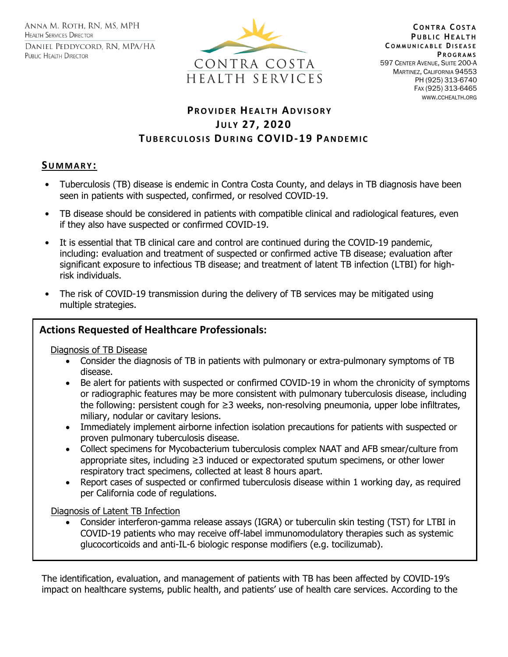ANNA M. ROTH, RN, MS, MPH **HEALTH SERVICES DIRECTOR** DANIEL PEDDYCORD, RN, MPA/HA PUBLIC HEALTH DIRECTOR



**C O N T R A C O S T A PUBLIC HEALTH C O M M U N I C A B L E DI S E A S E P R O G R A M S** 597 CENTER AVENUE, SUITE 200-A MARTINEZ, CALIFORNIA 94553 PH (925) 313-6740 FAX (925) 313-6465 WWW.CCHEALTH.ORG

# **PR O V I D E R HE A L T H AD V I S O R Y JU L Y 27, 2020 TUBERCULOSIS DURING COVID-19 PANDEMIC**

### **SU M M A R Y :**

- Tuberculosis (TB) disease is endemic in Contra Costa County, and delays in TB diagnosis have been seen in patients with suspected, confirmed, or resolved COVID-19. Ī
- TB disease should be considered in patients with compatible clinical and radiological features, even if they also have suspected or confirmed COVID-19.
- It is essential that TB clinical care and control are continued during the COVID-19 pandemic, including: evaluation and treatment of suspected or confirmed active TB disease; evaluation after significant exposure to infectious TB disease; and treatment of latent TB infection (LTBI) for highrisk individuals.
- The risk of COVID-19 transmission during the delivery of TB services may be mitigated using multiple strategies.

## **Actions Requested of Healthcare Professionals:**

Diagnosis of TB Disease

- Consider the diagnosis of TB in patients with pulmonary or extra-pulmonary symptoms of TB disease.
- Be alert for patients with suspected or confirmed COVID-19 in whom the chronicity of symptoms or radiographic features may be more consistent with pulmonary tuberculosis disease, including the following: persistent cough for ≥3 weeks, non-resolving pneumonia, upper lobe infiltrates, miliary, nodular or cavitary lesions.
- Immediately implement airborne infection isolation precautions for patients with suspected or proven pulmonary tuberculosis disease.
- Collect specimens for Mycobacterium tuberculosis complex NAAT and AFB smear/culture from appropriate sites, including ≥3 induced or expectorated sputum specimens, or other lower respiratory tract specimens, collected at least 8 hours apart.
- Report cases of suspected or confirmed tuberculosis disease within 1 working day, as required per California code of regulations.

Diagnosis of Latent TB Infection

• Consider interferon-gamma release assays (IGRA) or tuberculin skin testing (TST) for LTBI in COVID-19 patients who may receive off-label immunomodulatory therapies such as systemic glucocorticoids and anti-IL-6 biologic response modifiers (e.g. tocilizumab).

The identification, evaluation, and management of patients with TB has been affected by COVID-19's impact on healthcare systems, public health, and patients' use of health care services. According to the